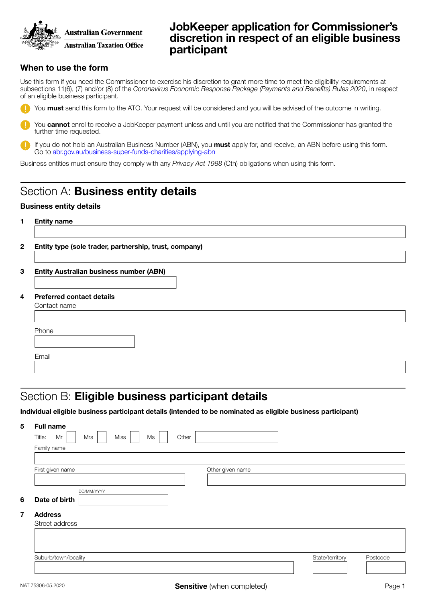

## JobKeeper application for Commissioner's discretion in respect of an eligible business participant

### When to use the form

Use this form if you need the Commissioner to exercise his discretion to grant more time to meet the eligibility requirements at subsections 11(6), (7) and/or (8) of the *Coronavirus Economic Response Package (Payments and Benefits) Rules 2020*, in respect of an eligible business participant.

You must send this form to the ATO. Your request will be considered and you will be advised of the outcome in writing.

You **cannot** enrol to receive a JobKeeper payment unless and until you are notified that the Commissioner has granted the further time requested.

If you do not hold an Australian Business Number (ABN), you must apply for, and receive, an ABN before using this form. Go to [abr.gov.au/business-super-funds-charities/applying-abn](https://www.abr.gov.au/business-super-funds-charities/applying-abn)

Business entities must ensure they comply with any *Privacy Act 1988* (Cth) obligations when using this form.

# Section A: Business entity details

#### Business entity details

| 1                       | <b>Entity name</b><br>Entity type (sole trader, partnership, trust, company) |  |  |  |  |  |
|-------------------------|------------------------------------------------------------------------------|--|--|--|--|--|
| $\mathbf{2}$            |                                                                              |  |  |  |  |  |
| 3                       | <b>Entity Australian business number (ABN)</b>                               |  |  |  |  |  |
| $\overline{\mathbf{4}}$ | <b>Preferred contact details</b><br>Contact name                             |  |  |  |  |  |
|                         | Phone                                                                        |  |  |  |  |  |
|                         | Email                                                                        |  |  |  |  |  |

## Section B: Eligible business participant details

Individual eligible business participant details (intended to be nominated as eligible business participant)

| 5              | <b>Full name</b>                           |                  |                             |  |  |  |  |  |
|----------------|--------------------------------------------|------------------|-----------------------------|--|--|--|--|--|
|                | Miss<br>Ms<br>Other<br>Title:<br>Mr<br>Mrs |                  |                             |  |  |  |  |  |
|                | Family name                                |                  |                             |  |  |  |  |  |
|                |                                            |                  |                             |  |  |  |  |  |
|                | First given name                           | Other given name |                             |  |  |  |  |  |
|                |                                            |                  |                             |  |  |  |  |  |
|                | DD/MM/YYYY                                 |                  |                             |  |  |  |  |  |
| 6              | Date of birth                              |                  |                             |  |  |  |  |  |
| $\overline{7}$ | <b>Address</b>                             |                  |                             |  |  |  |  |  |
|                | Street address                             |                  |                             |  |  |  |  |  |
|                |                                            |                  |                             |  |  |  |  |  |
|                |                                            |                  |                             |  |  |  |  |  |
|                | Suburb/town/locality                       |                  | State/territory<br>Postcode |  |  |  |  |  |
|                |                                            |                  |                             |  |  |  |  |  |
|                |                                            |                  |                             |  |  |  |  |  |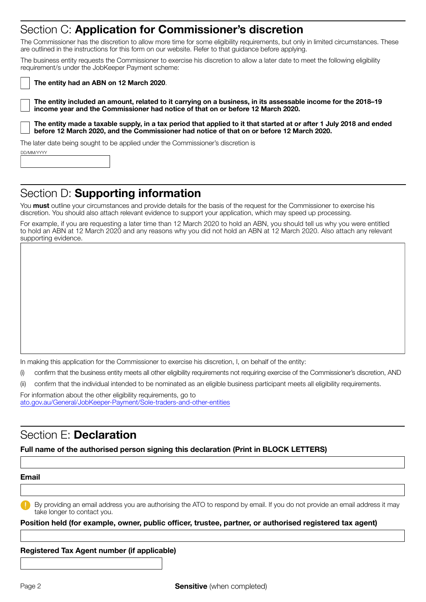## Section C: Application for Commissioner's discretion

The Commissioner has the discretion to allow more time for some eligibility requirements, but only in limited circumstances. These are outlined in the instructions for this form on our website. Refer to that guidance before applying.

The business entity requests the Commissioner to exercise his discretion to allow a later date to meet the following eligibility requirement/s under the JobKeeper Payment scheme:

The entity had an ABN on 12 March 2020.

The entity included an amount, related to it carrying on a business, in its assessable income for the 2018–19 income year and the Commissioner had notice of that on or before 12 March 2020.

The entity made a taxable supply, in a tax period that applied to it that started at or after 1 July 2018 and ended before 12 March 2020, and the Commissioner had notice of that on or before 12 March 2020.

The later date being sought to be applied under the Commissioner's discretion is

| DD/MM/YYYY |  |  |  |  |  |
|------------|--|--|--|--|--|
|            |  |  |  |  |  |
|            |  |  |  |  |  |
|            |  |  |  |  |  |

# Section D: Supporting information

You must outline your circumstances and provide details for the basis of the request for the Commissioner to exercise his discretion. You should also attach relevant evidence to support your application, which may speed up processing.

For example, if you are requesting a later time than 12 March 2020 to hold an ABN, you should tell us why you were entitled to hold an ABN at 12 March 2020 and any reasons why you did not hold an ABN at 12 March 2020. Also attach any relevant supporting evidence.

In making this application for the Commissioner to exercise his discretion, I, on behalf of the entity:

- (i) confirm that the business entity meets all other eligibility requirements not requiring exercise of the Commissioner's discretion, AND
- (ii) confirm that the individual intended to be nominated as an eligible business participant meets all eligibility requirements.

For information about the other eligibility requirements, go to [ato.gov.au/General/JobKeeper-Payment/Sole-traders-and-other-entities](https://www.ato.gov.au/General/JobKeeper-Payment/Sole-traders-and-other-entities)

## Section E: Declaration

#### Full name of the authorised person signing this declaration (Print in BLOCK LETTERS)

#### Email

By providing an email address you are authorising the ATO to respond by email. If you do not provide an email address it may take longer to contact you.

#### Position held (for example, owner, public officer, trustee, partner, or authorised registered tax agent)

#### Registered Tax Agent number (if applicable)